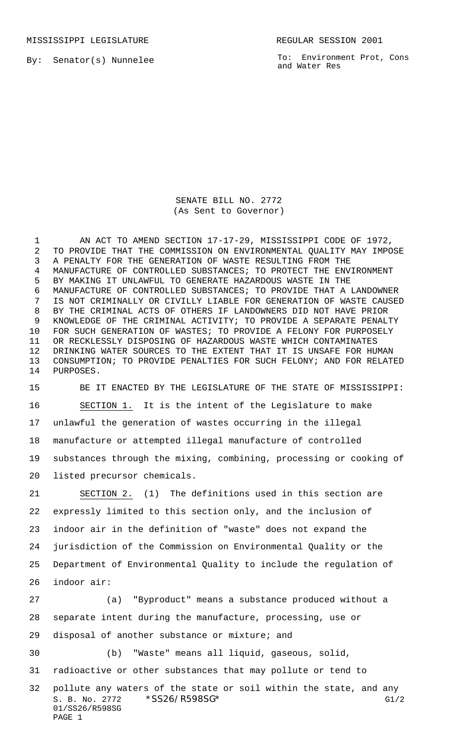MISSISSIPPI LEGISLATURE **REGULAR SESSION 2001** 

By: Senator(s) Nunnelee

To: Environment Prot, Cons and Water Res

SENATE BILL NO. 2772 (As Sent to Governor)

1 AN ACT TO AMEND SECTION 17-17-29, MISSISSIPPI CODE OF 1972, TO PROVIDE THAT THE COMMISSION ON ENVIRONMENTAL QUALITY MAY IMPOSE A PENALTY FOR THE GENERATION OF WASTE RESULTING FROM THE MANUFACTURE OF CONTROLLED SUBSTANCES; TO PROTECT THE ENVIRONMENT BY MAKING IT UNLAWFUL TO GENERATE HAZARDOUS WASTE IN THE MANUFACTURE OF CONTROLLED SUBSTANCES; TO PROVIDE THAT A LANDOWNER IS NOT CRIMINALLY OR CIVILLY LIABLE FOR GENERATION OF WASTE CAUSED BY THE CRIMINAL ACTS OF OTHERS IF LANDOWNERS DID NOT HAVE PRIOR KNOWLEDGE OF THE CRIMINAL ACTIVITY; TO PROVIDE A SEPARATE PENALTY FOR SUCH GENERATION OF WASTES; TO PROVIDE A FELONY FOR PURPOSELY OR RECKLESSLY DISPOSING OF HAZARDOUS WASTE WHICH CONTAMINATES DRINKING WATER SOURCES TO THE EXTENT THAT IT IS UNSAFE FOR HUMAN CONSUMPTION; TO PROVIDE PENALTIES FOR SUCH FELONY; AND FOR RELATED PURPOSES.

 BE IT ENACTED BY THE LEGISLATURE OF THE STATE OF MISSISSIPPI: SECTION 1. It is the intent of the Legislature to make unlawful the generation of wastes occurring in the illegal manufacture or attempted illegal manufacture of controlled substances through the mixing, combining, processing or cooking of listed precursor chemicals.

 SECTION 2. (1) The definitions used in this section are expressly limited to this section only, and the inclusion of indoor air in the definition of "waste" does not expand the jurisdiction of the Commission on Environmental Quality or the Department of Environmental Quality to include the regulation of indoor air:

S. B. No. 2772 \* SS26/R598SG\* G1/2 (a) "Byproduct" means a substance produced without a separate intent during the manufacture, processing, use or disposal of another substance or mixture; and (b) "Waste" means all liquid, gaseous, solid, radioactive or other substances that may pollute or tend to pollute any waters of the state or soil within the state, and any

```
01/SS26/R598SG
PAGE 1
```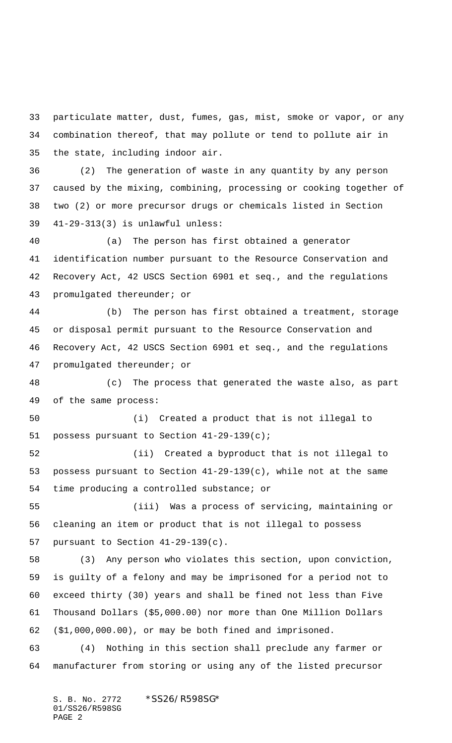particulate matter, dust, fumes, gas, mist, smoke or vapor, or any combination thereof, that may pollute or tend to pollute air in the state, including indoor air.

 (2) The generation of waste in any quantity by any person caused by the mixing, combining, processing or cooking together of two (2) or more precursor drugs or chemicals listed in Section 41-29-313(3) is unlawful unless:

 (a) The person has first obtained a generator identification number pursuant to the Resource Conservation and Recovery Act, 42 USCS Section 6901 et seq., and the regulations promulgated thereunder; or

 (b) The person has first obtained a treatment, storage or disposal permit pursuant to the Resource Conservation and Recovery Act, 42 USCS Section 6901 et seq., and the regulations promulgated thereunder; or

 (c) The process that generated the waste also, as part of the same process:

 (i) Created a product that is not illegal to possess pursuant to Section 41-29-139(c);

 (ii) Created a byproduct that is not illegal to possess pursuant to Section 41-29-139(c), while not at the same time producing a controlled substance; or

 (iii) Was a process of servicing, maintaining or cleaning an item or product that is not illegal to possess pursuant to Section 41-29-139(c).

 (3) Any person who violates this section, upon conviction, is guilty of a felony and may be imprisoned for a period not to exceed thirty (30) years and shall be fined not less than Five Thousand Dollars (\$5,000.00) nor more than One Million Dollars (\$1,000,000.00), or may be both fined and imprisoned.

 (4) Nothing in this section shall preclude any farmer or manufacturer from storing or using any of the listed precursor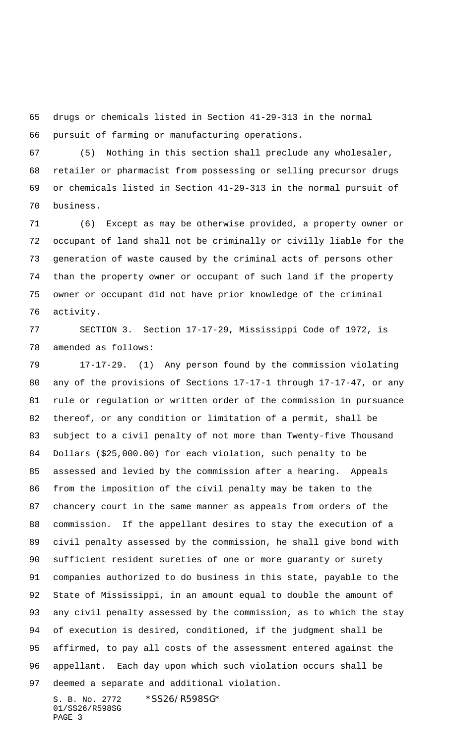drugs or chemicals listed in Section 41-29-313 in the normal pursuit of farming or manufacturing operations.

 (5) Nothing in this section shall preclude any wholesaler, retailer or pharmacist from possessing or selling precursor drugs or chemicals listed in Section 41-29-313 in the normal pursuit of business.

 (6) Except as may be otherwise provided, a property owner or occupant of land shall not be criminally or civilly liable for the generation of waste caused by the criminal acts of persons other than the property owner or occupant of such land if the property owner or occupant did not have prior knowledge of the criminal activity.

 SECTION 3. Section 17-17-29, Mississippi Code of 1972, is amended as follows:

 17-17-29. (1) Any person found by the commission violating any of the provisions of Sections 17-17-1 through 17-17-47, or any rule or regulation or written order of the commission in pursuance thereof, or any condition or limitation of a permit, shall be subject to a civil penalty of not more than Twenty-five Thousand Dollars (\$25,000.00) for each violation, such penalty to be assessed and levied by the commission after a hearing. Appeals from the imposition of the civil penalty may be taken to the chancery court in the same manner as appeals from orders of the commission. If the appellant desires to stay the execution of a civil penalty assessed by the commission, he shall give bond with sufficient resident sureties of one or more guaranty or surety companies authorized to do business in this state, payable to the State of Mississippi, in an amount equal to double the amount of any civil penalty assessed by the commission, as to which the stay of execution is desired, conditioned, if the judgment shall be affirmed, to pay all costs of the assessment entered against the appellant. Each day upon which such violation occurs shall be deemed a separate and additional violation.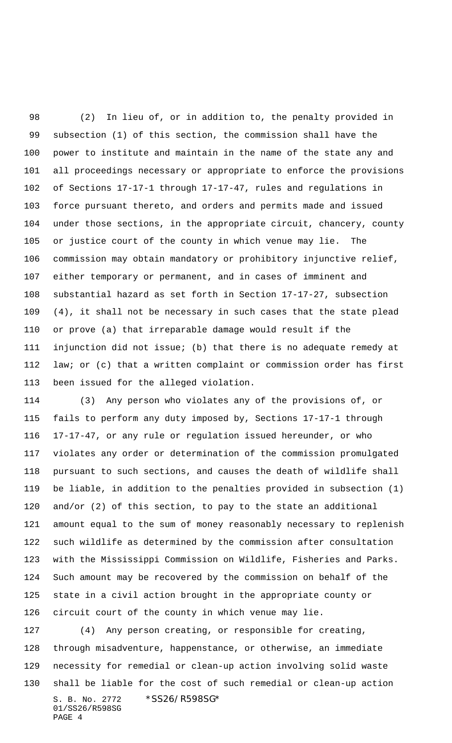(2) In lieu of, or in addition to, the penalty provided in subsection (1) of this section, the commission shall have the power to institute and maintain in the name of the state any and all proceedings necessary or appropriate to enforce the provisions of Sections 17-17-1 through 17-17-47, rules and regulations in force pursuant thereto, and orders and permits made and issued under those sections, in the appropriate circuit, chancery, county or justice court of the county in which venue may lie. The commission may obtain mandatory or prohibitory injunctive relief, either temporary or permanent, and in cases of imminent and substantial hazard as set forth in Section 17-17-27, subsection (4), it shall not be necessary in such cases that the state plead or prove (a) that irreparable damage would result if the injunction did not issue; (b) that there is no adequate remedy at law; or (c) that a written complaint or commission order has first been issued for the alleged violation.

 (3) Any person who violates any of the provisions of, or fails to perform any duty imposed by, Sections 17-17-1 through 17-17-47, or any rule or regulation issued hereunder, or who violates any order or determination of the commission promulgated pursuant to such sections, and causes the death of wildlife shall be liable, in addition to the penalties provided in subsection (1) and/or (2) of this section, to pay to the state an additional amount equal to the sum of money reasonably necessary to replenish such wildlife as determined by the commission after consultation with the Mississippi Commission on Wildlife, Fisheries and Parks. Such amount may be recovered by the commission on behalf of the state in a civil action brought in the appropriate county or circuit court of the county in which venue may lie.

S. B. No. 2772 \*SS26/R598SG\* 01/SS26/R598SG PAGE 4 (4) Any person creating, or responsible for creating, through misadventure, happenstance, or otherwise, an immediate necessity for remedial or clean-up action involving solid waste shall be liable for the cost of such remedial or clean-up action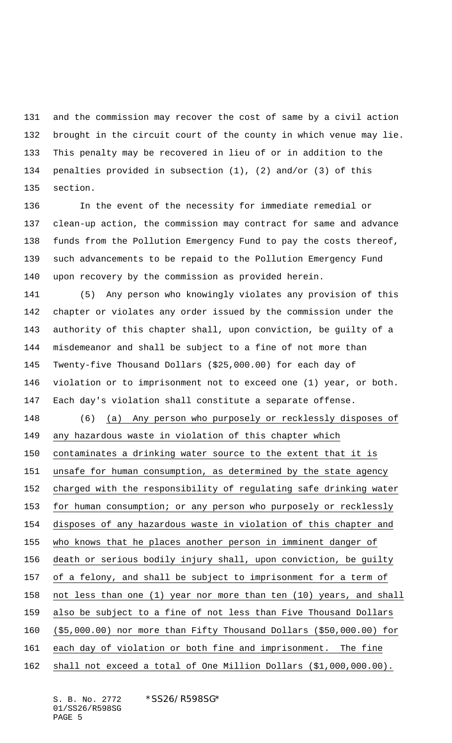and the commission may recover the cost of same by a civil action brought in the circuit court of the county in which venue may lie. This penalty may be recovered in lieu of or in addition to the penalties provided in subsection (1), (2) and/or (3) of this section.

 In the event of the necessity for immediate remedial or clean-up action, the commission may contract for same and advance funds from the Pollution Emergency Fund to pay the costs thereof, such advancements to be repaid to the Pollution Emergency Fund upon recovery by the commission as provided herein.

 (5) Any person who knowingly violates any provision of this chapter or violates any order issued by the commission under the authority of this chapter shall, upon conviction, be guilty of a misdemeanor and shall be subject to a fine of not more than Twenty-five Thousand Dollars (\$25,000.00) for each day of violation or to imprisonment not to exceed one (1) year, or both. Each day's violation shall constitute a separate offense.

 (6) (a) Any person who purposely or recklessly disposes of any hazardous waste in violation of this chapter which contaminates a drinking water source to the extent that it is unsafe for human consumption, as determined by the state agency charged with the responsibility of regulating safe drinking water for human consumption; or any person who purposely or recklessly disposes of any hazardous waste in violation of this chapter and who knows that he places another person in imminent danger of death or serious bodily injury shall, upon conviction, be guilty of a felony, and shall be subject to imprisonment for a term of not less than one (1) year nor more than ten (10) years, and shall also be subject to a fine of not less than Five Thousand Dollars (\$5,000.00) nor more than Fifty Thousand Dollars (\$50,000.00) for each day of violation or both fine and imprisonment. The fine shall not exceed a total of One Million Dollars (\$1,000,000.00).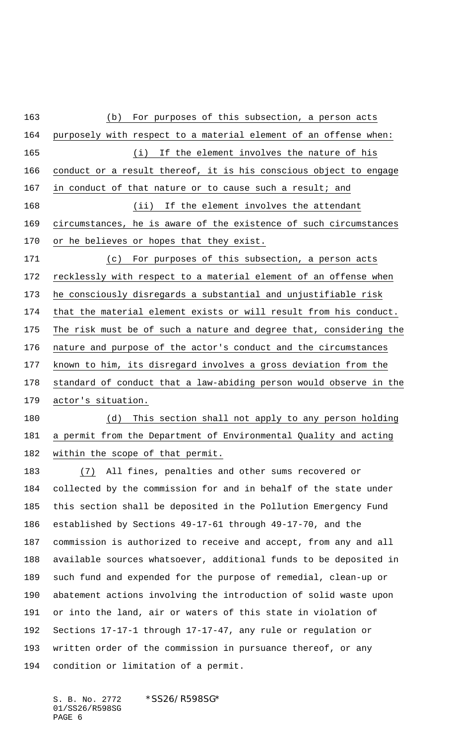(b) For purposes of this subsection, a person acts purposely with respect to a material element of an offense when: 165 (i) If the element involves the nature of his conduct or a result thereof, it is his conscious object to engage in conduct of that nature or to cause such a result; and (ii) If the element involves the attendant circumstances, he is aware of the existence of such circumstances or he believes or hopes that they exist. (c) For purposes of this subsection, a person acts recklessly with respect to a material element of an offense when he consciously disregards a substantial and unjustifiable risk that the material element exists or will result from his conduct. The risk must be of such a nature and degree that, considering the nature and purpose of the actor's conduct and the circumstances known to him, its disregard involves a gross deviation from the standard of conduct that a law-abiding person would observe in the actor's situation. 180 (d) This section shall not apply to any person holding a permit from the Department of Environmental Quality and acting within the scope of that permit. (7) All fines, penalties and other sums recovered or collected by the commission for and in behalf of the state under this section shall be deposited in the Pollution Emergency Fund established by Sections 49-17-61 through 49-17-70, and the commission is authorized to receive and accept, from any and all available sources whatsoever, additional funds to be deposited in such fund and expended for the purpose of remedial, clean-up or abatement actions involving the introduction of solid waste upon or into the land, air or waters of this state in violation of Sections 17-17-1 through 17-17-47, any rule or regulation or written order of the commission in pursuance thereof, or any condition or limitation of a permit.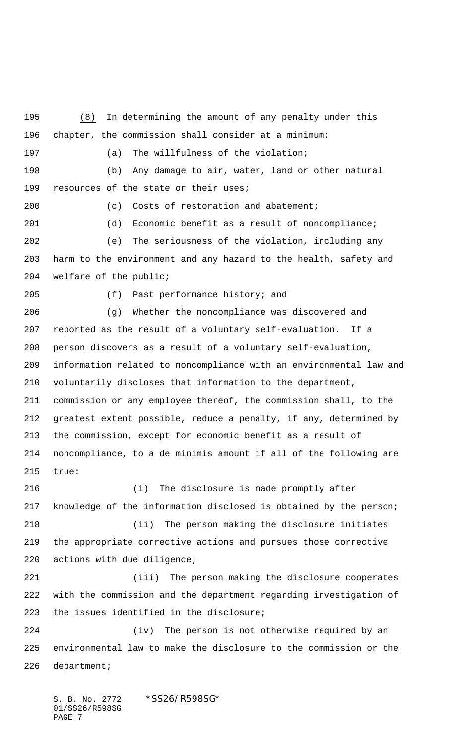(8) In determining the amount of any penalty under this chapter, the commission shall consider at a minimum: (a) The willfulness of the violation; (b) Any damage to air, water, land or other natural 199 resources of the state or their uses; (c) Costs of restoration and abatement; (d) Economic benefit as a result of noncompliance; (e) The seriousness of the violation, including any harm to the environment and any hazard to the health, safety and welfare of the public; (f) Past performance history; and (g) Whether the noncompliance was discovered and reported as the result of a voluntary self-evaluation. If a person discovers as a result of a voluntary self-evaluation, information related to noncompliance with an environmental law and voluntarily discloses that information to the department, commission or any employee thereof, the commission shall, to the greatest extent possible, reduce a penalty, if any, determined by the commission, except for economic benefit as a result of noncompliance, to a de minimis amount if all of the following are true: (i) The disclosure is made promptly after knowledge of the information disclosed is obtained by the person; (ii) The person making the disclosure initiates the appropriate corrective actions and pursues those corrective actions with due diligence; (iii) The person making the disclosure cooperates with the commission and the department regarding investigation of the issues identified in the disclosure; (iv) The person is not otherwise required by an environmental law to make the disclosure to the commission or the department;